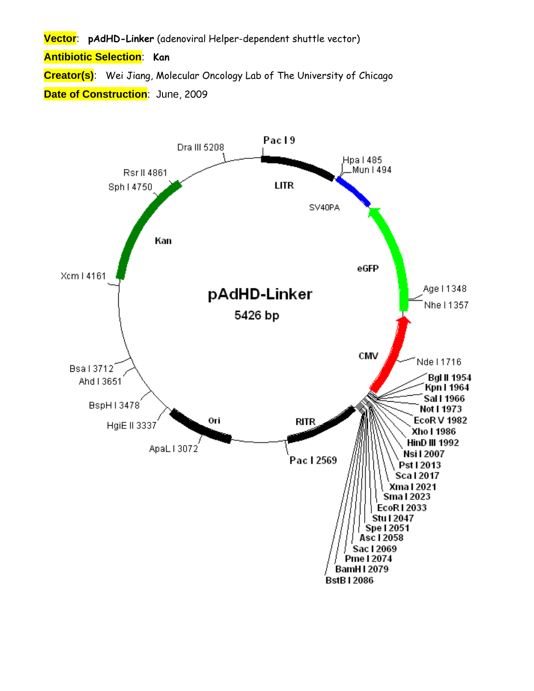**Vector**: **pAdHD-Linker** (adenoviral Helper-dependent shuttle vector)

**Antibiotic Selection**: **Kan**

**Creator(s)**: Wei Jiang, Molecular Oncology Lab of The University of Chicago **Date of Construction**: June, 2009

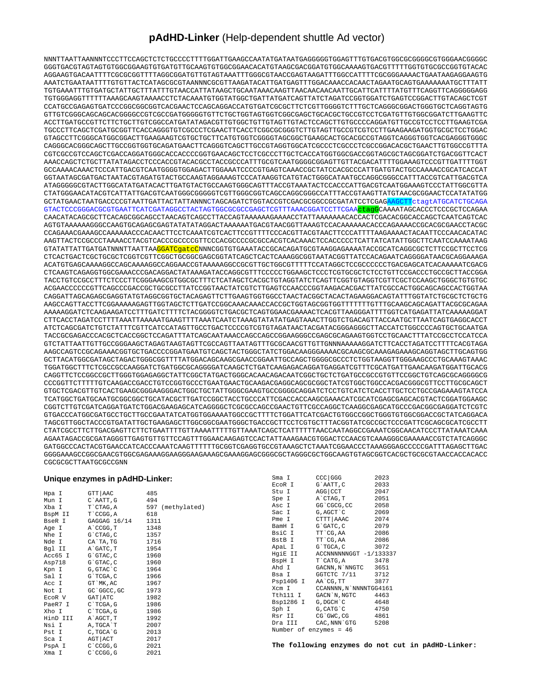## **pAdHD-Linker** (Help-dependent shuttle Ad vector)

NNNTTAATTAANNNTCCCTTCCAGCTCTCTGCCCCTTTTGGATTGAAGCCAATATGATAATGAGGGGGTGGAGTTTGTGACGTGGCGCGGGGCGTGGGAACGGGGC GGGTGACGTAGTAGTGTGGCGGAAGTGTGATGTTGCAAGTGTGGCGGAACACATGTAAGCGACGGATGTGGCAAAAGTGACGTTTTTGGTGTGCGCCGGTGTACAC AGGAAGTGACAATTTTCGCGCGGTTTTAGGCGGATGTTGTAGTAAATTTGGGCGTAACCGAGTAAGATTTGGCCATTTTCGCGGGAAAACTGAATAAGAGGAAGTG AAATCTGAATAATTTTGTGTTACTCATAGCGCGTAANNNCGCGTTAAGATACATTGATGAGTTTGGACAAACCACAACTAGAATGCAGTGAAAAAAATGCTTTATT TGTGAAATTTGTGATGCTATTGCTTTATTTGTAACCATTATAAGCTGCAATAAACAAGTTAACAACAACAATTGCATTCATTTTATGTTTCAGGTTCAGGGGGAGG TGTGGGAGGTTTTTTAAAGCAAGTAAAACCTCTACAAATGTGGTATGGCTGATTATGATCAGTTATCTAGATCCGGTGGATCTGAGTCCGGACTTGTACAGCTCGT CCATGCCGAGAGTGATCCCGGCGGCGGTCACGAACTCCAGCAGGACCATGTGATCGCGCTTCTCGTTGGGGTCTTTGCTCAGGGCGGACTGGGTGCTCAGGTAGTG GTTGTCGGGCAGCAGCACGGGGCCGTCGCCGATGGGGGTGTTCTGCTGGTAGTGGTCGGCGAGCTGCACGCTGCCGTCCTCGATGTTGTGGCGGATCTTGAAGTTC ACCTTGATGCCGTTCTTCTGCTTGTCGGCCATGATATAGACGTTGTGGCTGTTGTAGTTGTACTCCAGCTTGTGCCCCAGGATGTTGCCGTCCTCCTTGAAGTCGA TGCCCTTCAGCTCGATGCGGTTCACCAGGGTGTCGCCCTCGAACTTCACCTCGGCGCGGGTCTTGTAGTTGCCGTCGTCCTTGAAGAAGATGGTGCGCTCCTGGAC GTAGCCTTCGGGCATGGCGGACTTGAAGAAGTCGTGCTGCTTCATGTGGTCGGGGTAGCGGCTGAAGCACTGCACGCCGTAGGTCAGGGTGGTCACGAGGGTGGGC CAGGGCACGGGCAGCTTGCCGGTGGTGCAGATGAACTTCAGGGTCAGCTTGCCGTAGGTGGCATCGCCCTCGCCCTCGCCGGACACGCTGAACTTGTGGCCGTTTA CGTCGCCGTCCAGCTCGACCAGGATGGGCACCACCCCGGTGAACAGCTCCTCGCCCTTGCTCACCATGGTGGCGACCGGTAGCGCTAGCGGATCTGACGGTTCACT AAACCAGCTCTGCTTATATAGACCTCCCACCGTACACGCCTACCGCCCATTTGCGTCAATGGGGCGGAGTTGTTACGACATTTTGGAAAGTCCCGTTGATTTTGGT GCCAAAACAAACTCCCATTGACGTCAATGGGGTGGAGACTTGGAAATCCCCGTGAGTCAAACCGCTATCCACGCCCATTGATGTACTGCCAAAACCGCATCACCAT GGTAATAGCGATGACTAATACGTAGATGTACTGCCAAGTAGGAAAGTCCCATAAGGTCATGTACTGGGCATAATGCCAGGCGGGCCATTTACCGTCATTGACGTCA ATAGGGGGCGTACTTGGCATATGATACACTTGATGTACTGCCAAGTGGGCAGTTTACCGTAAATACTCCACCCATTGACGTCAATGGAAAGTCCCTATTGGCGTTA CTATGGGAACATACGTCATTATTGACGTCAATGGGCGGGGGTCGTTGGGCGGTCAGCCAGGCGGGCCATTTACCGTAAGTTATGTAACGCGGAACTCCATATATGG GCTATGAACTAATGACCCCGTAATTGATTACTATTANNNCTAGCAGATCTGGTACCGTCGACGCGGCCGCGATATCCTCGAGAAGCTTctagtATGCATCTGCAGA GTACTCCCGGGACGCGTGAATTCATCGATAGGCCTACTAGTGGCGCGCCGAGCTCGTTTAAACGGATCCTTCGAActagGCAAAATAGCACCCTCCCGCTCCAGAA CAACATACAGCGCTTCACAGCGGCAGCCTAACAGTCAGCCTTACCAGTAAAAAAGAAAACCTATTAAAAAAACACCACTCGACACGGCACCAGCTCAATCAGTCAC AGTGTAAAAAAGGGCCAAGTGCAGAGCGAGTATATATAGGACTAAAAAATGACGTAACGGTTAAAGTCCACAAAAAACACCCAGAAAACCGCACGCGAACCTACGC CCAGAAACGAAAGCCAAAAAACCCACAACTTCCTCAAATCGTCACTTCCGTTTTCCCACGTTACGTAACTTCCCATTTTAAGAAAACTACAATTCCCAACACATAC AAGTTACTCCGCCCTAAAACCTACGTCACCCGCCCCGTTCCCACGCCCCGCGCCACGTCACAAACTCCACCCCCTCATTATCATATTGGCTTCAATCCAAAATAAG GTATATTATTGATGATNNNTTAATTAAGGATCgatcCNNNCGGTGTGAAATACCGCACAGATGCGTAAGGAGAAAATACCGCATCAGGCGCTCTTCCGCTTCCTCG CTCACTGACTCGCTGCGCTCGGTCGTTCGGCTGCGGCGAGCGGTATCAGCTCACTCAAAGGCGGTAATACGGTTATCCACAGAATCAGGGGATAACGCAGGAAAGA ACATGTGAGCAAAAGGCCAGCAAAAGGCCAGGAACCGTAAAAAGGCCGCGTTGCTGGCGTTTTTCCATAGGCTCCGCCCCCCTGACGAGCATCACAAAAATCGACG CTCAAGTCAGAGGTGGCGAAACCCGACAGGACTATAAAGATACCAGGCGTTTCCCCCTGGAAGCTCCCTCGTGCGCTCTCCTGTTCCGACCCTGCCGCTTACCGGA TACCTGTCCGCCTTTCTCCCTTCGGGAAGCGTGGCGCTTTCTCATAGCTCACGCTGTAGGTATCTCAGTTCGGTGTAGGTCGTTCGCTCCAAGCTGGGCTGTGTGC ACGAACCCCCCGTTCAGCCCGACCGCTGCGCCTTATCCGGTAACTATCGTCTTGAGTCCAACCCGGTAAGACACGACTTATCGCCACTGGCAGCAGCCACTGGTAA CAGGATTAGCAGAGCGAGGTATGTAGGCGGTGCTACAGAGTTCTTGAAGTGGTGGCCTAACTACGGCTACACTAGAAGGACAGTATTTGGTATCTGCGCTCTGCTG AAGCCAGTTACCTTCGGAAAAAGAGTTGGTAGCTCTTGATCCGGCAAACAAACCACCGCTGGTAGCGGTGGTTTTTTTGTTTGCAAGCAGCAGATTACGCGCAGAA AAAAAGGATCTCAAGAAGATCCTTTGATCTTTTCTACGGGGTCTGACGCTCAGTGGAACGAAAACTCACGTTAAGGGATTTTGGTCATGAGATTATCAAAAAGGAT CTTCACCTAGATCCTTTTAAATTAAAAATGAAGTTTTAAATCAATCTAAAGTATATATGAGTAAACTTGGTCTGACAGTTACCAATGCTTAATCAGTGAGGCACCT ATCTCAGCGATCTGTCTATTTCGTTCATCCATAGTTGCCTGACTCCCCGTCGTGTAGATAACTACGATACGGGAGGGCTTACCATCTGGCCCCAGTGCTGCAATGA TACCGCGAGACCCACGCTCACCGGCTCCAGATTTATCAGCAATAAACCAGCCAGCCGGAAGGGCCGAGCGCAGAAGTGGTCCTGCAACTTTATCCGCCTCCATCCA GTCTATTAATTGTTGCCGGGAAGCTAGAGTAAGTAGTTCGCCAGTTAATAGTTTGCGCAACGTTGTTGNNNAAAAAGGATCTTCACCTAGATCCTTTTCACGTAGA AAGCCAGTCCGCAGAAACGGTGCTGACCCCGGATGAATGTCAGCTACTGGGCTATCTGGACAAGGGAAAACGCAAGCGCAAAGAGAAAGCAGGTAGCTTGCAGTGG GCTTACATGGCGATAGCTAGACTGGGCGGTTTTATGGACAGCAAGCGAACCGGAATTGCCAGCTGGGGCGCCCTCTGGTAAGGTTGGGAAGCCCTGCAAAGTAAAC TGGATGGCTTTCTCGCCGCCAAGGATCTGATGGCGCAGGGGATCAAGCTCTGATCAAGAGACAGGATGAGGATCGTTTCGCATGATTGAACAAGATGGATTGCACG CAGGTTCTCCGGCCGCTTGGGTGGAGAGGCTATTCGGCTATGACTGGGCACAACAGACAATCGGCTGCTCTGATGCCGCCGTGTTCCGGCTGTCAGCGCAGGGGCG CCCGGTTCTTTTTGTCAAGACCGACCTGTCCGGTGCCCTGAATGAACTGCAAGACGAGGCAGCGCGGCTATCGTGGCTGGCCACGACGGGCGTTCCTTGCGCAGCT GTGCTCGACGTTGTCACTGAAGCGGGAAGGGACTGGCTGCTATTGGGCGAAGTGCCGGGGCAGGATCTCCTGTCATCTCACCTTGCTCCTGCCGAGAAAGTATCCA TCATGGCTGATGCAATGCGGCGGCTGCATACGCTTGATCCGGCTACCTGCCCATTCGACCACCAAGCGAAACATCGCATCGAGCGAGCACGTACTCGGATGGAAGC CGGTCTTGTCGATCAGGATGATCTGGACGAAGAGCATCAGGGGCTCGCGCCAGCCGAACTGTTCGCCAGGCTCAAGGCGAGCATGCCCGACGGCGAGGATCTCGTC GTGACCCATGGCGATGCCTGCTTGCCGAATATCATGGTGGAAAATGGCCGCTTTTCTGGATTCATCGACTGTGGCCGGCTGGGTGTGGCGGACCGCTATCAGGACA TAGCGTTGGCTACCCGTGATATTGCTGAAGAGCTTGGCGGCGAATGGGCTGACCGCTTCCTCGTGCTTTACGGTATCGCCGCTCCCGATTCGCAGCGCATCGCCTT CTATCGCCTTCTTGACGAGTTCTTCTGAATTTTGTTAAAATTTTTGTTAAATCAGCTCATTTTTTAACCAATAGGCCGAAATCGGCAACATCCCTTATAAATCAAA AGAATAGACCGCGATAGGGTTGAGTGTTGTTCCAGTTTGGAACAAGAGTCCACTATTAAAGAACGTGGACTCCAACGTCAAAGGGCGAAAAACCGTCTATCAGGGC GATGGCCCACTACGTGAACCATCACCCAAATCAAGTTTTTTGCGGTCGAGGTGCCGTAAAGCTCTAAATCGGAACCCTAAAGGGAGCCCCCGATTTAGAGCTTGAC GGGGAAAGCCGGCGAACGTGGCGAGAAAGGAAGGGAAGAAAGCGAAAGGAGCGGGCGCTAGGGCGCTGGCAAGTGTAGCGGTCACGCTGCGCGTAACCACCACACC CGCGCGCTTAATGCGCCGNN

## **Unique enzymes in pAdHD-Linker:**

| Hpa I   | GTT AAC            | 485              |
|---------|--------------------|------------------|
| Mun I   | C`AATT,G           | 494              |
| Xba I   | T`CTAG,A           | 597 (methylated) |
| BspM II | T`CCGG,A           | 618              |
| BseR I  | GAGGAG 16/14       | 1311             |
| Age I   | A`CCGG, T          | 1348             |
| Nhe I   | G`CTAG, C          | 1357             |
| Nde I   | CA`TA,TG           | 1716             |
| Bgl II  | A`GATC,T           | 1954             |
| Acc65 I | G`GTAC,C           | 1960             |
| Asp718  | G`GTAC, C          | 1960             |
| Kpn I   | G,GTAC`C           | 1964             |
| Sal I   | G`TCGA, C          | 1966             |
| Acc I   | GT`MK,AC           | 1967             |
| Not I   | GC`GGCC,GC         | 1973             |
| ECOR V  | GAT ATC            | 1982             |
| PaeR7 I | C`TCGA, G          | 1986             |
| Xho I   | C`TCGA,G           | 1986             |
|         | HinD III A`AGCT, T | 1992             |
| Nsi I   | A, TGCA`T          | 2007             |
| Pst I   | C, TGCA`G          | 2013             |
| Sca I   | AGT   ACT          | 2017             |
| PspA I  | C`CCGG, G          | 2021             |
| Xma I   | C`CCGG, G          | 2021             |

|           |                                | 2023 |
|-----------|--------------------------------|------|
| Sma I     | $CCC$ GGG                      |      |
| EcoR I    | G`AATT, C                      | 2033 |
| Stu I     | AGG   CCT                      | 2047 |
| Spe I     | A`CTAG, T                      | 2051 |
| Asc I     | GG`CGCG,CC                     | 2058 |
| Sac I     | G, AGCT C                      | 2069 |
| Pme I     | CTTT   AAAC                    | 2074 |
| BamH I    | G`GATC, C                      | 2079 |
|           | BsiC I TT`CG,AA                | 2086 |
|           | BstB I TT`CG,AA                | 2086 |
| ApaL I    | G`TGCA,C                       | 3072 |
|           | HqiE II ACCNNNNNNGGT -1/133337 |      |
| BspH I    | $T$ CATG, A 3478               |      |
| Ahd I     | GACNN, N`NNGTC 3651            |      |
|           | Bsa I GGTCTC 7/11 3712         |      |
|           | Psp1406 I AA`CG,TT 3877        |      |
| Xcm I     | CCANNNN, N`NNNNTGG4161         |      |
|           | Tth111 I GACN`N,NGTC 4463      |      |
| Bsp1286 I | G, DGCH`C                      | 4648 |
| Sph I     | G, CATG`C                      | 4750 |
| Rsr II    | CG`GWC,CG                      | 4861 |
| Dra III   | CAC, NNN GTG 5208              |      |
|           | Number of enzymes = 46         |      |
|           |                                |      |

**The following enzymes do not cut in pAdHD-Linker:**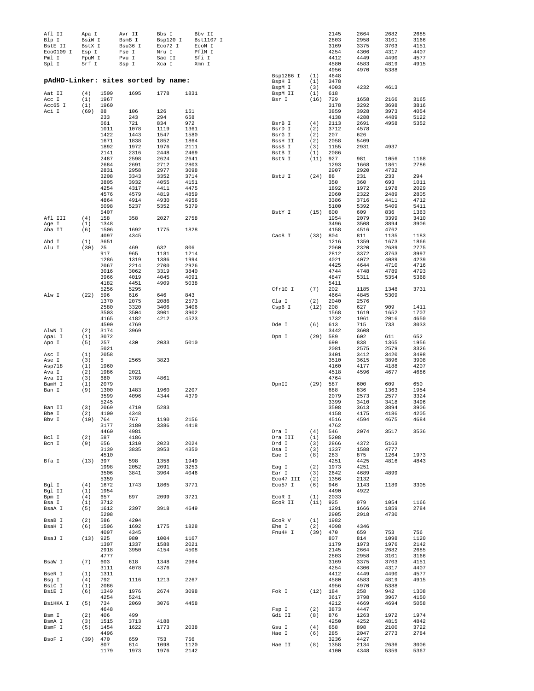| Afl II<br>Blp I    | Apa I<br>BsiW I |              | Avr II<br>BsmB I                    | Bbs I<br>Bsp120 I | Bbv II<br>Bst1107 I |                   |             | 2145<br>2803 | 2664<br>2958 | 2682<br>3101 | 2685<br>3166 |
|--------------------|-----------------|--------------|-------------------------------------|-------------------|---------------------|-------------------|-------------|--------------|--------------|--------------|--------------|
| BstE II            | BstX I          |              | Bsu36 I                             | Eco72 I           | ECON I              |                   |             | 3169         | 3375         | 3703         | 4151         |
| Eco0109 I<br>Pml I | Esp I<br>PpuM I |              | Fse I<br>Pvu I                      | Nru I<br>Sac II   | PflM I<br>Sfi I     |                   |             | 4254<br>4412 | 4306<br>4449 | 4317<br>4490 | 4407<br>4577 |
| Spl I              | Srf I           |              | Ssp I                               | Xca I             | Xmn I               |                   |             | 4580         | 4583         | 4819         | 4915         |
|                    |                 |              |                                     |                   |                     |                   |             | 4956         | 4970         | 5388         |              |
|                    |                 |              |                                     |                   |                     | Bsp1286 I         | (1)         | 4648         |              |              |              |
|                    |                 |              | pAdHD-Linker: sites sorted by name: |                   |                     | BspH I            | (1)         | 3478         |              |              |              |
| Aat II             | (4)             | 1509         | 1695                                | 1778              | 1831                | BspM I<br>BspM II | (3)<br>(1)  | 4003<br>618  | 4232         | 4613         |              |
| Acc I              | (1)             | 1967         |                                     |                   |                     | Bsr I             | (16)        | 729          | 1658         | 2166         | 3165         |
| Acc65 I            | (1)             | 1960         |                                     |                   |                     |                   |             | 3178         | 3292         | 3698         | 3816         |
| Aci I              | (69)            | 88           | 106                                 | 126               | 151                 |                   |             | 3859         | 3928         | 3973         | 4054         |
|                    |                 | 233<br>661   | 243<br>721                          | 294<br>834        | 658<br>972          | BsrB I            | (4)         | 4138<br>2113 | 4288<br>2691 | 4489<br>4958 | 5122<br>5352 |
|                    |                 | 1011         | 1078                                | 1119              | 1361                | BsrD I            | (2)         | 3712         | 4578         |              |              |
|                    |                 | 1422         | 1443                                | 1547              | 1580                | BsrG I            | (2)         | 207          | 626          |              |              |
|                    |                 | 1671         | 1838                                | 1852              | 1864                | BssH II           | (2)         | 2058         | 5409         |              |              |
|                    |                 | 1892         | 1972                                | 1976              | 2111                | BssS I            | (3)         | 1155         | 2931         | 4937         |              |
|                    |                 | 2141         | 2316                                | 2448              | 2469                | BstB I            | (1)         | 2086         |              |              | 1168         |
|                    |                 | 2487<br>2684 | 2598<br>2691                        | 2624<br>2712      | 2641<br>2803        | BstN I            | $(11)$ 927  | 1293         | 981<br>1668  | 1056<br>1861 | 2786         |
|                    |                 | 2831         | 2958                                | 2977              | 3098                |                   |             | 2907         | 2920         | 4732         |              |
|                    |                 | 3208         | 3343                                | 3352              | 3714                | BstU I            | (24)        | 88           | 231          | 233          | 294          |
|                    |                 | 3805         | 3932                                | 4055              | 4151                |                   |             | 350          | 360          | 693          | 1011         |
|                    |                 | 4254         | 4317                                | 4411              | 4475                |                   |             | 1892         | 1972         | 1978         | 2029         |
|                    |                 | 4576<br>4864 | 4579<br>4914                        | 4819<br>4930      | 4859<br>4956        |                   |             | 2060<br>3386 | 2322<br>3716 | 2489<br>4411 | 2805<br>4712 |
|                    |                 | 5098         | 5237                                | 5352              | 5379                |                   |             | 5100         | 5392         | 5409         | 5411         |
|                    |                 | 5407         |                                     |                   |                     | BstY I            | (15)        | 600          | 609          | 836          | 1363         |
| Afl III            | (4)             | 158          | 358                                 | 2027              | 2758                |                   |             | 1954         | 2079         | 3399         | 3410         |
| Age I              | (1)             | 1348         |                                     |                   |                     |                   |             | 3496         | 3508         | 3894         | 3906         |
| Aha II             | (6)             | 1506<br>4097 | 1692<br>4345                        | 1775              | 1828                | Cac8 I            | (33)        | 4158<br>804  | 4516<br>811  | 4762<br>1135 | 1183         |
| Ahd I              | (1)             | 3651         |                                     |                   |                     |                   |             | 1216         | 1359         | 1673         | 1866         |
| Alu I              | (30)            | 25           | 469                                 | 632               | 806                 |                   |             | 2060         | 2320         | 2689         | 2775         |
|                    |                 | 917          | 965                                 | 1181              | 1214                |                   |             | 2812         | 3372         | 3763         | 3997         |
|                    |                 | 1286         | 1319                                | 1386              | 1994                |                   |             | 4021         | 4072         | 4089         | 4239         |
|                    |                 | 2067         | 2214                                | 2700              | 2926                |                   |             | 4425<br>4744 | 4644         | 4710         | 4716         |
|                    |                 | 3016<br>3966 | 3062<br>4019                        | 3319<br>4045      | 3840<br>4091        |                   |             | 4847         | 4748<br>5311 | 4789<br>5354 | 4793<br>5368 |
|                    |                 | 4182         | 4451                                | 4909              | 5038                |                   |             | 5411         |              |              |              |
|                    |                 | 5256         | 5295                                |                   |                     | Cfr10 I           | (7)         | 202          | 1185         | 1348         | 3731         |
| Alw I              | $(22)$ 596      |              | 616                                 | 646               | 843                 |                   |             | 4664         | 4845         | 5309         |              |
|                    |                 | 1370         | 2075                                | 2086              | 2573                | Cla I             | (2)         | 2040         | 2576         |              |              |
|                    |                 | 2580<br>3503 | 3320<br>3504                        | 3406<br>3901      | 3406<br>3902        | Csp6 I            | (12)        | 208<br>1568  | 627<br>1619  | 909<br>1652  | 1411<br>1707 |
|                    |                 | 4165         | 4182                                | 4212              | 4523                |                   |             | 1732         | 1961         | 2016         | 4650         |
|                    |                 | 4590         | 4769                                |                   |                     | Dde I             | (6)         | 613          | 715          | 733          | 3033         |
| AlwN I             | (2)             | 3174         | 3969                                |                   |                     |                   |             | 3442         | 3608         |              |              |
| ApaL I             | (1)             | 3072         |                                     |                   |                     | Dpn I             | (29)        | 589          | 602          | 611          | 652          |
| Apo I              | (5)             | 257          | 430                                 | 2033              | 5010                |                   |             | 690          | 838          | 1365         | 1956         |
| Asc I              | (1)             | 5021<br>2058 |                                     |                   |                     |                   |             | 2081<br>3401 | 2575<br>3412 | 2579<br>3420 | 3326<br>3498 |
| Ase I              | (3)             | 5            | 2565                                | 3823              |                     |                   |             | 3510         | 3615         | 3896         | 3908         |
| Asp718             | (1)             | 1960         |                                     |                   |                     |                   |             | 4160         | 4177         | 4188         | 4207         |
| Ava I              | (2)             | 1986         | 2021                                |                   |                     |                   |             | 4518         | 4596         | 4677         | 4686         |
| Ava II             | (3)             | 680          | 3789                                | 4861              |                     |                   |             | 4764         |              |              |              |
| BamH I<br>Ban I    | (1)<br>(9)      | 2079<br>1300 | 1483                                | 1960              | 2207                | DpnII             | $(29)$ 587  | 688          | 600<br>836   | 609<br>1363  | 650<br>1954  |
|                    |                 | 3599         | 4096                                | 4344              | 4379                |                   |             | 2079         | 2573         | 2577         | 3324         |
|                    |                 | 5245         |                                     |                   |                     |                   |             | 3399         | 3410         | 3418         | 3496         |
| Ban II             | (3)             | 2069         | 4710                                | 5283              |                     |                   |             | 3508         | 3613         | 3894         | 3906         |
| Bbe I              | (2)             | 4100         | 4348                                |                   |                     |                   |             | 4158         | 4175         | 4186         | 4205         |
| Bbv I              | (10)            | 764          | 767<br>3180                         | 1190              | 2156<br>4418        |                   |             | 4516<br>4762 | 4594         | 4675         | 4684         |
|                    |                 | 3177<br>4460 | 4981                                | 3386              |                     | Dra I             | (4)         | 546          | 2074         | 3517         | 3536         |
| Bcl I              | (2)             | 587          | 4186                                |                   |                     | Dra III           | (1)         | 5208         |              |              |              |
| Bcn I              | (9)             | 656          | 1310                                | 2023              | 2024                | Drd I             | (3)         | 2866         | 4372         | 5163         |              |
|                    |                 | 3139         | 3835                                | 3953              | 4350                | Dsa I             | (3)         | 1337         | 1588         | 4777         |              |
| Bfa I              | (13) 397        | 4510         | 598                                 | 1358              | 1949                | Eae I             | (8)         | 283<br>4251  | 875<br>4425  | 1264<br>4816 | 1973<br>4843 |
|                    |                 | 1998         | 2052                                | 2091              | 3253                | Eag I             | (2)         | 1973         | 4251         |              |              |
|                    |                 | 3506         | 3841                                | 3904              | 4046                | Ear I             | (3)         | 2642         | 4689         | 4899         |              |
|                    |                 | 5359         |                                     |                   |                     | Eco47 III         | (2)         | 1356         | 2132         |              |              |
| Bgl I              | (4)             | 1672         | 1743                                | 1865              | 3771                | Eco57 I           | (6)         | 946          | 1143         | 1189         | 3305         |
| Bgl II<br>Bpm I    | (1)<br>(4)      | 1954<br>657  | 897                                 | 2099              | 3721                | ECOR I            | (1)         | 4490<br>2033 | 4922         |              |              |
| Bsa I              | (1)             | 3712         |                                     |                   |                     | ECOR II           | $(11)$ 925  |              | 979          | 1054         | 1166         |
| BsaA I             | (5)             | 1612         | 2397                                | 3918              | 4649                |                   |             | 1291         | 1666         | 1859         | 2784         |
|                    |                 | 5208         |                                     |                   |                     |                   |             | 2905         | 2918         | 4730         |              |
| BsaB I             | (2)             | 586          | 4204                                |                   |                     | ECOR V            | (1)         | 1982         |              |              |              |
| BsaH I             | (6)             | 1506<br>4097 | 1692<br>4345                        | 1775              | 1828                | Ehe I<br>Fnu4H I  | (2)<br>(39) | 4098<br>470  | 4346         | 753          | 756          |
| BsaJ I             | (13)            | 925          | 980                                 | 1004              | 1167                |                   |             | 807          | 659<br>814   | 1098         | 1120         |
|                    |                 | 1307         | 1337                                | 1588              | 2021                |                   |             | 1179         | 1973         | 1976         | 2142         |
|                    |                 | 2918         | 3950                                | 4154              | 4508                |                   |             | 2145         | 2664         | 2682         | 2685         |
|                    |                 | 4777         |                                     |                   |                     |                   |             | 2803         | 2958         | 3101         | 3166         |
| BsaW I             | (7)             | 603          | 618                                 | 1348              | 2964                |                   |             | 3169         | 3375         | 3703         | 4151         |
| BseR I             | (1)             | 3111<br>1311 | 4078                                | 4376              |                     |                   |             | 4254<br>4412 | 4306<br>4449 | 4317<br>4490 | 4407<br>4577 |
| Bsg I              | (4)             | 792          | 1116                                | 1213              | 2267                |                   |             | 4580         | 4583         | 4819         | 4915         |
| BsiC I             | (1)             | 2086         |                                     |                   |                     |                   |             | 4956         | 4970         | 5388         |              |
| BsiE I             | (6)             | 1349         | 1976                                | 2674              | 3098                | Fok I             | $(12)$ 184  |              | 258          | 942          | 1308         |
|                    |                 | 4254         | 5241                                |                   |                     |                   |             | 3617         | 3798         | 3967         | 4150         |
| BsiHKA I           | (5)             | 734<br>4648  | 2069                                | 3076              | 4458                | Fsp I             | (2)         | 4212<br>3873 | 4669<br>4447 | 4694         | 5058         |
| Bsm I              | (2)             | 406          | 499                                 |                   |                     | Gdi II            | (8)         | 876          | 1263         | 1972         | 1974         |
| BsmA I             | (3)             | 1515         | 3713                                | 4188              |                     |                   |             | 4250         | 4252         | 4815         | 4842         |
| BsmF I             | (5)             | 1454         | 1622                                | 1773              | 2038                | Gsu I             | (4)         | 658          | 898          | 2100         | 3722         |
|                    |                 | 4496         |                                     |                   |                     | Hae I             | (6)         | 285          | 2047         | 2773         | 2784         |
| BsoF I             | $(39)$ 470      | 807          | 659<br>814                          | 753<br>1098       | 756<br>1120         | Hae II            | (8)         | 3236<br>1358 | 4427<br>2134 | 2636         | 3006         |
|                    |                 | 1179         | 1973                                | 1976              | 2142                |                   |             | 4100         | 4348         | 5359         | 5367         |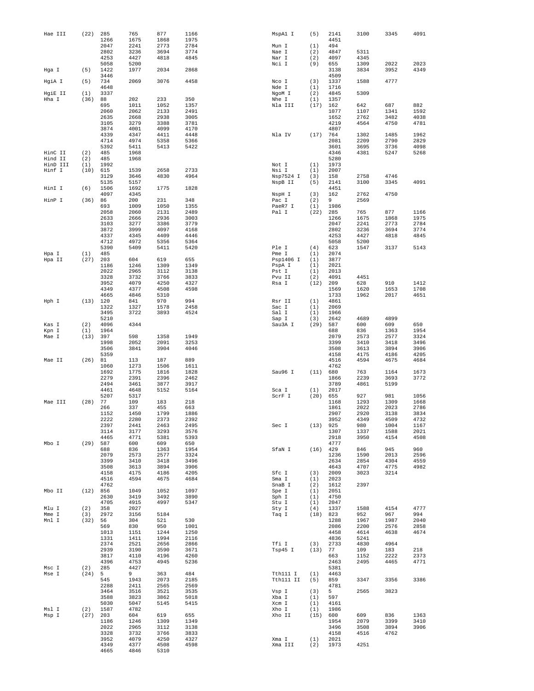| Hae III            | (22)        | 285          | 765          | 877          | 1166         | MspA1 I               | (5)         | 2141         | 3100         | 3345         | 4091         |
|--------------------|-------------|--------------|--------------|--------------|--------------|-----------------------|-------------|--------------|--------------|--------------|--------------|
|                    |             | 1266         | 1675         | 1868         | 1975         |                       |             | 4451         |              |              |              |
|                    |             | 2047<br>2802 | 2241<br>3236 | 2773<br>3694 | 2784<br>3774 | Mun I                 | (1)         | 494<br>4847  | 5311         |              |              |
|                    |             | 4253         | 4427         | 4818         | 4845         | Nae I<br>Nar I        | (2)<br>(2)  | 4097         | 4345         |              |              |
|                    |             | 5058         | 5200         |              |              | Nci I                 | (9)         | 655          | 1309         | 2022         | 2023         |
| Hga I              | (5)         | 1422         | 1977         | 2034         | 2868         |                       |             | 3138         | 3834         | 3952         | 4349         |
|                    |             | 3446         |              |              |              |                       |             | 4509         |              |              |              |
| HgiA I             | (5)         | 734<br>4648  | 2069         | 3076         | 4458         | Nco I<br>Nde I        | (3)<br>(1)  | 1337<br>1716 | 1588         | 4777         |              |
| HgiE II            | (1)         | 3337         |              |              |              | NgoM I                | (2)         | 4845         | 5309         |              |              |
| Hha I              | (36)        | 88           | 202          | 233          | 350          | Nhe I                 | (1)         | 1357         |              |              |              |
|                    |             | 695          | 1011         | 1052         | 1357         | Nla III               | (17)        | 162          | 642          | 687          | 882          |
|                    |             | 2060         | 2062         | 2133         | 2491         |                       |             | 1077         | 1107         | 1341         | 1592         |
|                    |             | 2635         | 2668         | 2938         | 3005         |                       |             | 1652         | 2762         | 3482         | 4038         |
|                    |             | 3105<br>3874 | 3279<br>4001 | 3388<br>4099 | 3781<br>4170 |                       |             | 4219<br>4807 | 4564         | 4750         | 4781         |
|                    |             | 4339         | 4347         | 4411         | 4448         | Nla IV                | (17)        | 764          | 1302         | 1485         | 1962         |
|                    |             | 4714         | 4974         | 5358         | 5366         |                       |             | 2081         | 2209         | 2790         | 2829         |
|                    |             | 5392         | 5411         | 5413         | 5422         |                       |             | 3601         | 3695         | 3736         | 4098         |
| HinC II<br>Hind II | (2)<br>(2)  | 485<br>485   | 1968<br>1968 |              |              |                       |             | 4346<br>5280 | 4381         | 5247         | 5268         |
| HinD III           | (1)         | 1992         |              |              |              | Not I                 | (1)         | 1973         |              |              |              |
| Hinf I             | (10)        | 615          | 1539         | 2658         | 2733         | Nsi I                 | (1)         | 2007         |              |              |              |
|                    |             | 3129         | 3646         | 4830         | 4964         | Nsp7524 I             | (3)         | 158          | 2758         | 4746         |              |
|                    |             | 5135         | 5157         |              |              | NspB II               | (5)         | 2141         | 3100         | 3345         | 4091         |
| HinI I             | (6)         | 1506<br>4097 | 1692<br>4345 | 1775         | 1828         | NspH I                | (3)         | 4451<br>162  | 2762         | 4750         |              |
| HinP I             | (36)        | 86           | 200          | 231          | 348          | Pac I                 | (2)         | 9            | 2569         |              |              |
|                    |             | 693          | 1009         | 1050         | 1355         | PaeR7 I               | (1)         | 1986         |              |              |              |
|                    |             | 2058         | 2060         | 2131         | 2489         | Pal I                 | (22)        | 285          | 765          | 877          | 1166         |
|                    |             | 2633         | 2666         | 2936         | 3003         |                       |             | 1266         | 1675         | 1868         | 1975         |
|                    |             | 3103<br>3872 | 3277<br>3999 | 3386<br>4097 | 3779<br>4168 |                       |             | 2047<br>2802 | 2241<br>3236 | 2773<br>3694 | 2784<br>3774 |
|                    |             | 4337         | 4345         | 4409         | 4446         |                       |             | 4253         | 4427         | 4818         | 4845         |
|                    |             | 4712         | 4972         | 5356         | 5364         |                       |             | 5058         | 5200         |              |              |
|                    |             | 5390         | 5409         | 5411         | 5420         | Ple I                 | (4)         | 623          | 1547         | 3137         | 5143         |
| Hpa I              | (1)         | 485          |              |              |              | Pme I                 | (1)         | 2074         |              |              |              |
| Hpa II             | (27)        | 203<br>1186  | 604<br>1246  | 619<br>1309  | 655<br>1349  | Psp1406 I<br>PspA I   | (1)<br>(1)  | 3877<br>2021 |              |              |              |
|                    |             | 2022         | 2965         | 3112         | 3138         | Pst I                 | (1)         | 2013         |              |              |              |
|                    |             | 3328         | 3732         | 3766         | 3833         | Pvu II                | (2)         | 4091         | 4451         |              |              |
|                    |             | 3952         | 4079         | 4250         | 4327         | Rsa I                 | (12)        | 209          | 628          | 910          | 1412         |
|                    |             | 4349         | 4377         | 4508         | 4598         |                       |             | 1569         | 1620         | 1653         | 1708         |
| Hph I              | (13) 120    | 4665         | 4846<br>841  | 5310<br>970  | 994          | Rsr II                | (1)         | 1733<br>4861 | 1962         | 2017         | 4651         |
|                    |             | 1322         | 1327         | 1578         | 2458         | Sac I                 | (1)         | 2069         |              |              |              |
|                    |             | 3495         | 3722         | 3893         | 4524         | Sal I                 | (1)         | 1966         |              |              |              |
|                    |             | 5210         |              |              |              | Sap I                 | (3)         | 2642         | 4689         | 4899         |              |
| Kas I              | (2)         | 4096         | 4344         |              |              | Sau3A I               | (29)        | 587          | 600          | 609          | 650          |
| Kpn I<br>Mae I     | (1)<br>(13) | 1964<br>397  | 598          | 1358         | 1949         |                       |             | 688<br>2079  | 836<br>2573  | 1363<br>2577 | 1954<br>3324 |
|                    |             | 1998         | 2052         | 2091         | 3253         |                       |             | 3399         | 3410         | 3418         | 3496         |
|                    |             | 3506         | 3841         | 3904         | 4046         |                       |             | 3508         | 3613         | 3894         | 3906         |
|                    |             | 5359         |              |              |              |                       |             | 4158         | 4175         | 4186         | 4205         |
| Mae II             | (26)        | 81           | 113          | 187          | 889          |                       |             | 4516         | 4594         | 4675         | 4684         |
|                    |             | 1060         | 1273<br>1775 | 1506         | 1611         | Sau96 I               | (11)        | 4762         |              |              | 1673         |
|                    |             | 1692<br>2279 | 2391         | 1816<br>2396 | 1828<br>2462 |                       |             | 680<br>1866  | 763<br>2239  | 1164<br>3693 | 3772         |
|                    |             | 2494         | 3461         | 3877         | 3917         |                       |             | 3789         | 4861         | 5199         |              |
|                    |             | 4461         | 4648         | 5152         | 5164         | Sca I                 | (1)         | 2017         |              |              |              |
|                    |             | 5207         | 5317         |              |              | ScrF I                | (20)        | 655          | 927          | 981          | 1056         |
| Mae III            | (28)        | 77<br>266    | 109<br>337   | 183<br>455   | 218<br>663   |                       |             | 1168<br>1861 | 1293<br>2022 | 1309<br>2023 | 1668<br>2786 |
|                    |             | 1152         | 1450         | 1799         | 1886         |                       |             | 2907         | 2920         | 3138         | 3834         |
|                    |             | 2222         | 2280         | 2373         | 2392         |                       |             | 3952         | 4349         | 4509         | 4732         |
|                    |             | 2397         | 2441         | 2463         | 2495         | Sec I                 | $(13)$ 925  |              | 980          | 1004         | 1167         |
|                    |             | 3114         | 3177         | 3293         | 3576         |                       |             | 1307         | 1337         | 1588         | 2021         |
| Mbo I              | (29)        | 4465<br>587  | 4771<br>600  | 5381<br>609  | 5393<br>650  |                       |             | 2918<br>4777 | 3950         | 4154         | 4508         |
|                    |             | 688          | 836          | 1363         | 1954         | SfaN I                | $(16)$ 429  |              | 846          | 945          | 960          |
|                    |             | 2079         | 2573         | 2577         | 3324         |                       |             | 1236         | 1590         | 2013         | 2596         |
|                    |             | 3399         | 3410         | 3418         | 3496         |                       |             | 2634         | 2854         | 4304         | 4559         |
|                    |             | 3508         | 3613         | 3894         | 3906         |                       |             | 4643         | 4707         | 4775         | 4982         |
|                    |             | 4158<br>4516 | 4175<br>4594 | 4186<br>4675 | 4205<br>4684 | Sfc I<br>Sma I        | (3)<br>(1)  | 2009<br>2023 | 3023         | 3214         |              |
|                    |             | 4762         |              |              |              | SnaB I                | (2)         | 1612         | 2397         |              |              |
| Mbo II             | (12)        | 856          | 1049         | 1052         | 1097         | Spe I                 | (1)         | 2051         |              |              |              |
|                    |             | 2630         | 3419         | 3492         | 3890         | Sph I                 | (1)         | 4750         |              |              |              |
| Mlu I              |             | 4705         | 4915<br>2027 | 4997         | 5347         | Stu I                 | (1)<br>(4)  | 2047<br>1337 |              | 4154         | 4777         |
| Mme I              | (2)<br>(3)  | 358<br>2972  | 3156         | 5184         |              | Sty I<br>Taq I        | (18) 823    |              | 1588<br>952  | 967          | 994          |
| Mnl I              | (32)        | 56           | 304          | 521          | 530          |                       |             | 1288         | 1967         | 1987         | 2040         |
|                    |             | 569          | 830          | 950          | 1001         |                       |             | 2086         | 2200         | 2576         | 2858         |
|                    |             | 1013         | 1151         | 1244         | 1250         |                       |             | 4458         | 4614         | 4638         | 4674         |
|                    |             | 1331<br>2374 | 1411<br>2521 | 1994<br>2656 | 2116<br>2866 | Tfi I                 | (3)         | 4836<br>2733 | 5241<br>4830 | 4964         |              |
|                    |             | 2939         | 3190         | 3590         | 3671         | Tsp45 I               | (13)        | 77           | 109          | 183          | 218          |
|                    |             | 3817         | 4110         | 4196         | 4260         |                       |             | 663          | 1152         | 2222         | 2373         |
|                    |             | 4396         | 4753         | 4945         | 5236         |                       |             | 2463         | 2495         | 4465         | 4771         |
| Msc I              | (2)         | 285          | 4427<br>9    |              | 484          |                       |             | 5381         |              |              |              |
| Mse I              | (24)        | 5<br>545     | 1943         | 363<br>2073  | 2185         | Tth111 I<br>Tth111 II | (1)<br>(5)  | 4463<br>859  | 3347         | 3356         | 3386         |
|                    |             | 2288         | 2411         | 2565         | 2569         |                       |             | 4781         |              |              |              |
|                    |             | 3464         | 3516         | 3521         | 3535         | Vsp I                 | (3)         | 5            | 2565         | 3823         |              |
|                    |             | 3588         | 3823         | 3862         | 5018         | Xba I                 | (1)         | 597          |              |              |              |
|                    |             | 5030         | 5047         | 5145         | 5415         | Xcm I                 | (1)         | 4161         |              |              |              |
| Msl I<br>Msp I     | (2)<br>(27) | 1587<br>203  | 4782<br>604  | 619          | 655          | Xho I<br>Xho II       | (1)<br>(15) | 1986<br>600  | 609          | 836          | 1363         |
|                    |             | 1186         | 1246         | 1309         | 1349         |                       |             | 1954         | 2079         | 3399         | 3410         |
|                    |             | 2022         | 2965         | 3112         | 3138         |                       |             | 3496         | 3508         | 3894         | 3906         |
|                    |             | 3328         | 3732         | 3766         | 3833         |                       |             | 4158         | 4516         | 4762         |              |
|                    |             | 3952         | 4079         | 4250         | 4327         | Xma I                 | (1)         | 2021         |              |              |              |
|                    |             | 4349<br>4665 | 4377<br>4846 | 4508<br>5310 | 4598         | Xma III               | (2)         | 1973         | 4251         |              |              |
|                    |             |              |              |              |              |                       |             |              |              |              |              |